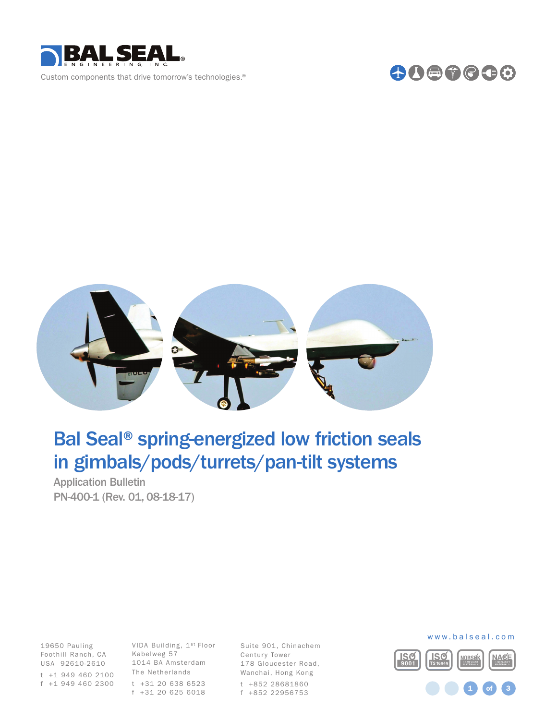





## Bal Seal® spring-energized low friction seals in gimbals/pods/turrets/pan-tilt systems

Application Bulletin PN-400-1 (Rev. 01, 08-18-17)

Foothill Ranch, CA Kabelweg 57 19650 Pauling USA 92610-2610 t +1 949 460 2100

VIDA Building, 1st Floor 1014 BA Amsterdam The Netherlands t +31 20 638 6523 f +1 949 460 2300 f +31 20 625 6018

Suite 901, Chinachem Century Tower 178 Gloucester Road, Wanchai, Hong Kong t +852 28681860 f +852 22956753



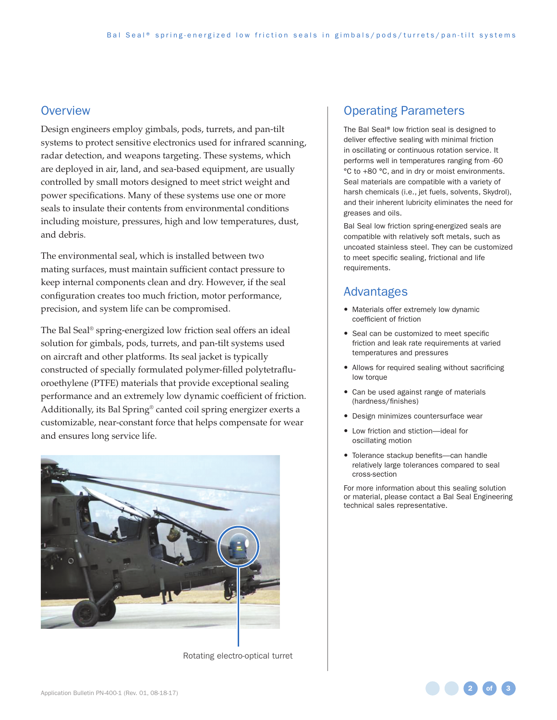## **Overview**

Design engineers employ gimbals, pods, turrets, and pan-tilt systems to protect sensitive electronics used for infrared scanning, radar detection, and weapons targeting. These systems, which are deployed in air, land, and sea-based equipment, are usually controlled by small motors designed to meet strict weight and power specifications. Many of these systems use one or more seals to insulate their contents from environmental conditions including moisture, pressures, high and low temperatures, dust, and debris.

The environmental seal, which is installed between two mating surfaces, must maintain sufficient contact pressure to keep internal components clean and dry. However, if the seal configuration creates too much friction, motor performance, precision, and system life can be compromised.

The Bal Seal® spring-energized low friction seal offers an ideal solution for gimbals, pods, turrets, and pan-tilt systems used on aircraft and other platforms. Its seal jacket is typically constructed of specially formulated polymer-filled polytetrafluoroethylene (PTFE) materials that provide exceptional sealing performance and an extremely low dynamic coefficient of friction. Additionally, its Bal Spring® canted coil spring energizer exerts a customizable, near-constant force that helps compensate for wear and ensures long service life.



Rotating electro-optical turret

## Operating Parameters

The Bal Seal® low friction seal is designed to deliver effective sealing with minimal friction in oscillating or continuous rotation service. It performs well in temperatures ranging from -60 °C to +80 °C, and in dry or moist environments. Seal materials are compatible with a variety of harsh chemicals (i.e., jet fuels, solvents, Skydrol), and their inherent lubricity eliminates the need for greases and oils.

Bal Seal low friction spring-energized seals are compatible with relatively soft metals, such as uncoated stainless steel. They can be customized to meet specific sealing, frictional and life requirements.

## Advantages

- Materials offer extremely low dynamic coefficient of friction
- Seal can be customized to meet specific friction and leak rate requirements at varied temperatures and pressures
- Allows for required sealing without sacrificing low torque
- Can be used against range of materials (hardness/finishes)
- Design minimizes countersurface wear
- Low friction and stiction-ideal for oscillating motion
- Tolerance stackup benefits-can handle relatively large tolerances compared to seal cross-section

For more information about this sealing solution or material, please contact a Bal Seal Engineering technical sales representative.